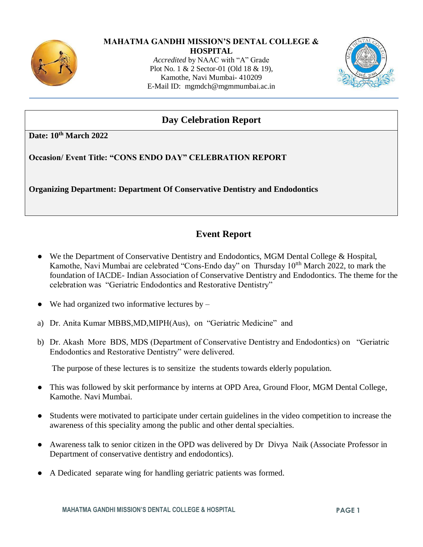

#### **MAHATMA GANDHI MISSION'S DENTAL COLLEGE &**

**HOSPITAL** *Accredited* by NAAC with "A" Grade Plot No. 1 & 2 Sector-01 (Old 18 & 19), Kamothe, Navi Mumbai- 410209 E-Mail ID: [mgmdch@mgmmumbai.ac.in](mailto:mgmdch@mgmmumbai.ac.in)



## **Day Celebration Report**

**Date: 10th March 2022**

**Occasion/ Event Title: "CONS ENDO DAY" CELEBRATION REPORT**

**Organizing Department: Department Of Conservative Dentistry and Endodontics**

# **Event Report**

- We the Department of Conservative Dentistry and Endodontics, MGM Dental College & Hospital, Kamothe, Navi Mumbai are celebrated "Cons-Endo day" on Thursday 10<sup>th</sup> March 2022, to mark the foundation of IACDE- Indian Association of Conservative Dentistry and Endodontics. The theme for the celebration was "Geriatric Endodontics and Restorative Dentistry"
- We had organized two informative lectures by  $-$
- a) Dr. Anita Kumar MBBS,MD,MIPH(Aus), on "Geriatric Medicine" and
- b) Dr. Akash More BDS, MDS (Department of Conservative Dentistry and Endodontics) on "Geriatric Endodontics and Restorative Dentistry" were delivered.

The purpose of these lectures is to sensitize the students towards elderly population.

- This was followed by skit performance by interns at OPD Area, Ground Floor, MGM Dental College, Kamothe. Navi Mumbai.
- Students were motivated to participate under certain guidelines in the video competition to increase the awareness of this speciality among the public and other dental specialties.
- Awareness talk to senior citizen in the OPD was delivered by Dr Divya Naik (Associate Professor in Department of conservative dentistry and endodontics).
- A Dedicated separate wing for handling geriatric patients was formed.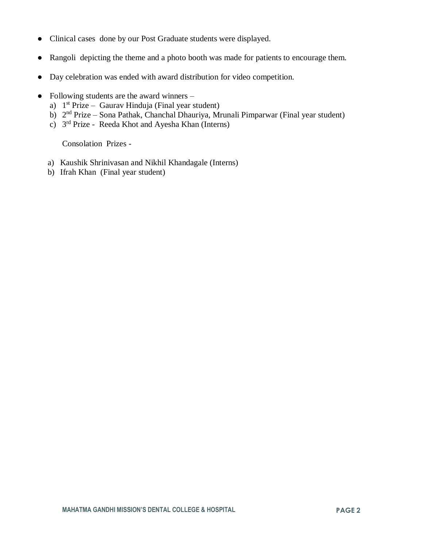- Clinical cases done by our Post Graduate students were displayed.
- Rangoli depicting the theme and a photo booth was made for patients to encourage them.
- Day celebration was ended with award distribution for video competition.
- Following students are the award winners
	- a) 1<sup>st</sup> Prize Gaurav Hinduja (Final year student)
	- b)  $2<sup>nd</sup> Prize Sona Pathak, Chanchal Dhauriya, Mrunali Pimparwar (Final year student)$
	- c) 3 rd Prize Reeda Khot and Ayesha Khan (Interns)

Consolation Prizes -

- a) Kaushik Shrinivasan and Nikhil Khandagale (Interns)
- b) Ifrah Khan (Final year student)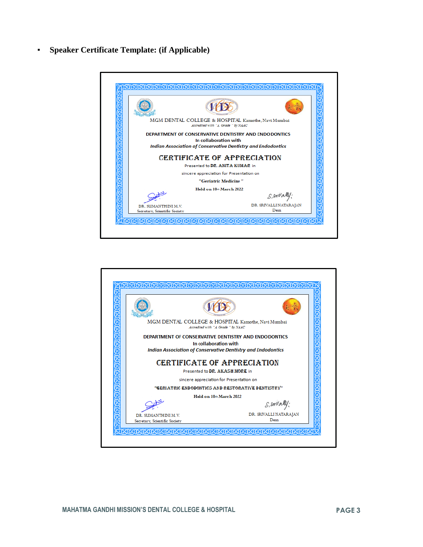**Speaker Certificate Template: (if Applicable)** 



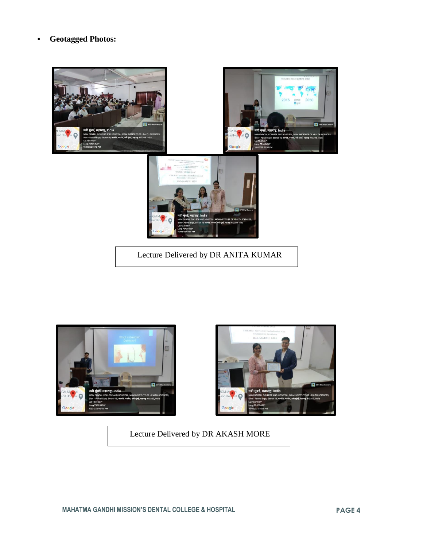#### ▪ **Geotagged Photos:**







Lecture Delivered by DR AKASH MORE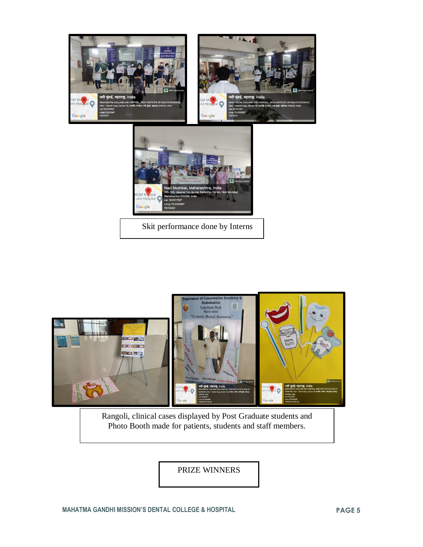



Rangoli, clinical cases displayed by Post Graduate students and Photo Booth made for patients, students and staff members.

PRIZE WINNERS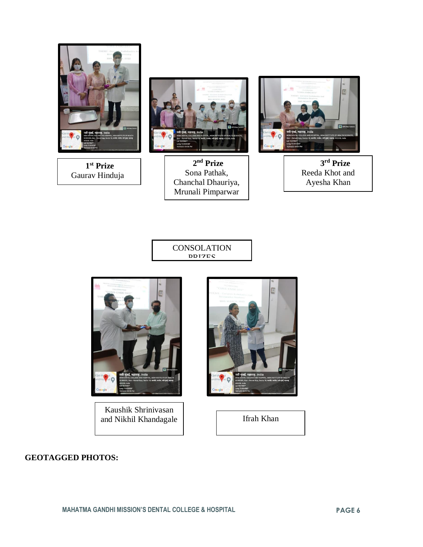

 **1 st Prize**  Gaurav Hinduja



 **2 nd Prize**  Sona Pathak, Chanchal Dhauriya, Mrunali Pimparwar



 **3 rd Prize**  Reeda Khot and Ayesha Khan

**CONSOLATION DDI7ES** 



Kaushik Shrinivasan and Nikhil Khandagale | Ifrah Khan



### **GEOTAGGED PHOTOS:**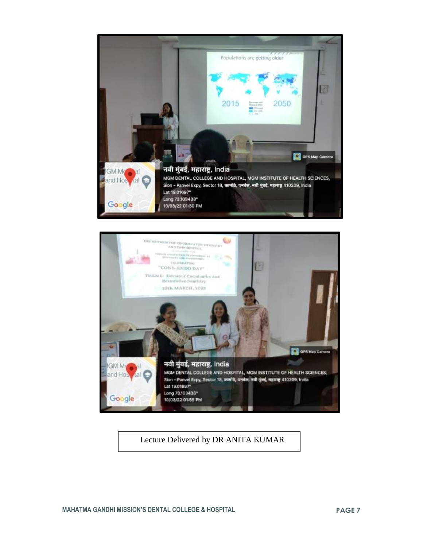



Lecture Delivered by DR ANITA KUMAR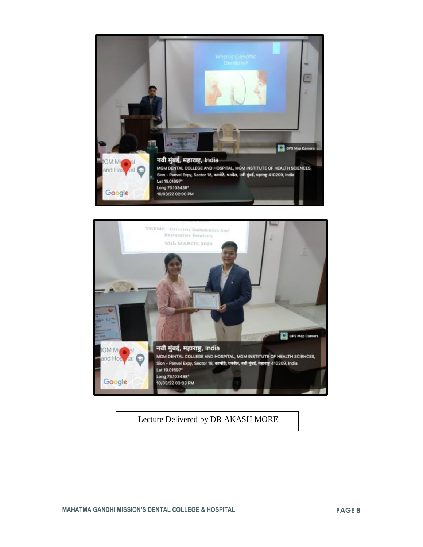



Lecture Delivered by DR AKASH MORE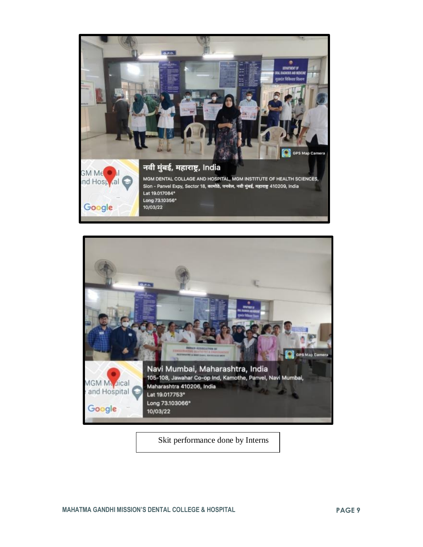



Skit performance done by Interns